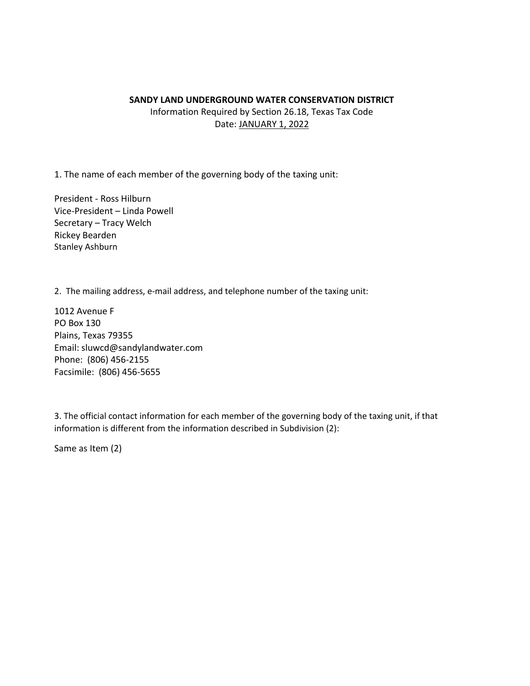#### **SANDY LAND UNDERGROUND WATER CONSERVATION DISTRICT**

Information Required by Section 26.18, Texas Tax Code Date: JANUARY 1, 2022

1. The name of each member of the governing body of the taxing unit:

President - Ross Hilburn Vice-President – Linda Powell Secretary – Tracy Welch Rickey Bearden Stanley Ashburn

2. The mailing address, e-mail address, and telephone number of the taxing unit:

1012 Avenue F PO Box 130 Plains, Texas 79355 Email: sluwcd@sandylandwater.com Phone: (806) 456-2155 Facsimile: (806) 456-5655

3. The official contact information for each member of the governing body of the taxing unit, if that information is different from the information described in Subdivision (2):

Same as Item (2)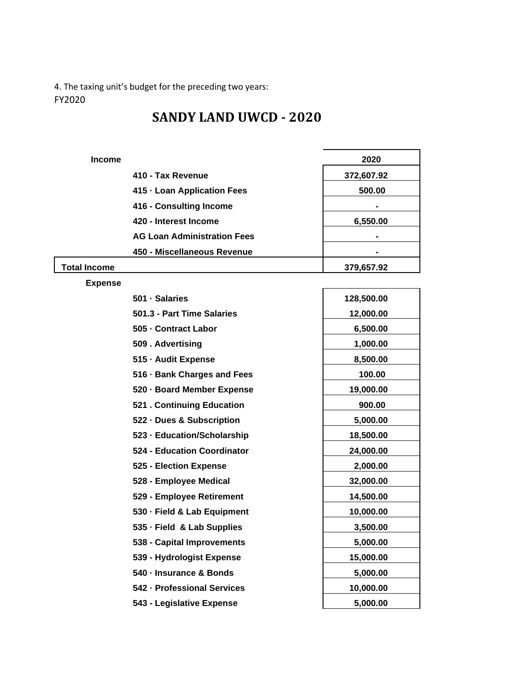4. The taxing unit's budget for the preceding two years: FY2020

# **SANDY LAND UWCD - 2020**

| <b>Income</b> |                                    | 2020       |
|---------------|------------------------------------|------------|
|               | 410 - Tax Revenue                  | 372,607.92 |
|               | 415 - Loan Application Fees        | 500.00     |
|               | 416 - Consulting Income            |            |
|               | 420 - Interest Income              | 6,550.00   |
|               | <b>AG Loan Administration Fees</b> |            |
|               | 450 - Miscellaneous Revenue        |            |
| Total Income  |                                    | 379,657.92 |

**Expense** 

| 501 · Salaries              | 128,500.00 |
|-----------------------------|------------|
| 501.3 - Part Time Salaries  | 12,000.00  |
| 505 - Contract Labor        | 6,500.00   |
| 509. Advertising            | 1,000.00   |
| 515 - Audit Expense         | 8,500.00   |
| 516 · Bank Charges and Fees | 100.00     |
| 520 - Board Member Expense  | 19,000.00  |
| 521 . Continuing Education  | 900.00     |
| 522 - Dues & Subscription   | 5,000.00   |
| 523 - Education/Scholarship | 18,500.00  |
| 524 - Education Coordinator | 24,000.00  |
| 525 - Election Expense      | 2,000.00   |
| 528 - Employee Medical      | 32,000.00  |
| 529 - Employee Retirement   | 14,500.00  |
| 530 - Field & Lab Equipment | 10,000.00  |
| 535 - Field & Lab Supplies  | 3,500.00   |
| 538 - Capital Improvements  | 5,000.00   |
| 539 - Hydrologist Expense   | 15,000.00  |
| 540 - Insurance & Bonds     | 5,000.00   |
| 542 - Professional Services | 10,000.00  |
| 543 - Legislative Expense   | 5,000.00   |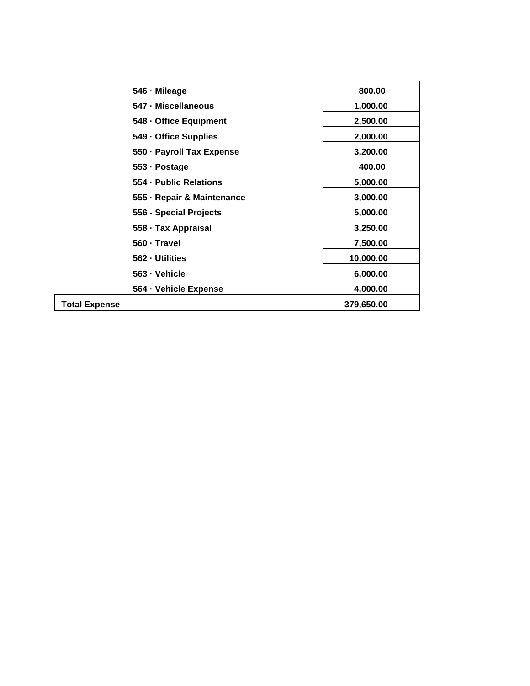| 546 - Mileage              | 800.00     |
|----------------------------|------------|
| 547 - Miscellaneous        | 1,000.00   |
| 548 - Office Equipment     | 2,500.00   |
| 549 - Office Supplies      | 2,000.00   |
| 550 - Payroll Tax Expense  | 3,200.00   |
| 553 - Postage              | 400.00     |
| 554 - Public Relations     | 5,000.00   |
| 555 - Repair & Maintenance | 3,000.00   |
| 556 - Special Projects     | 5,000.00   |
| 558 · Tax Appraisal        | 3,250.00   |
| 560 · Travel               | 7,500.00   |
| 562 - Utilities            | 10,000.00  |
| 563 - Vehicle              | 6,000.00   |
| 564 · Vehicle Expense      | 4,000.00   |
| <b>Total Expense</b>       | 379,650.00 |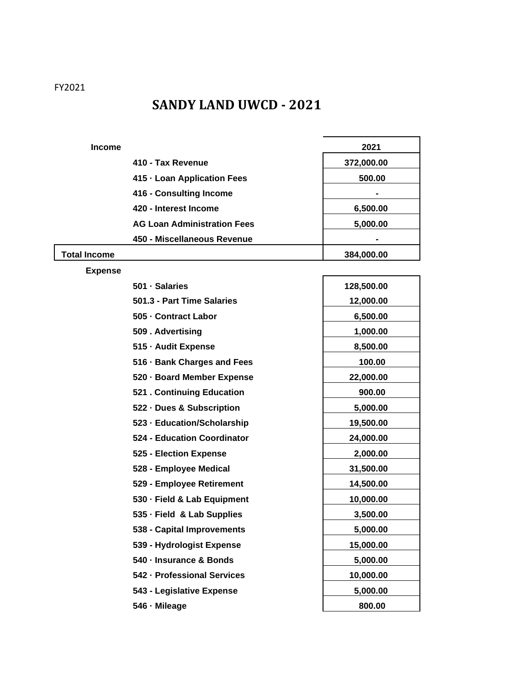FY2021

# **SANDY LAND UWCD - 2021**

| <b>Income</b> |                                    | 2021       |
|---------------|------------------------------------|------------|
|               | 410 - Tax Revenue                  | 372,000.00 |
|               | 415 - Loan Application Fees        | 500.00     |
|               | 416 - Consulting Income            | -          |
|               | 420 - Interest Income              | 6,500.00   |
|               | <b>AG Loan Administration Fees</b> | 5,000.00   |
|               | 450 - Miscellaneous Revenue        |            |
| Total Income  |                                    | 384,000.00 |

#### **Expense**

| 501 · Salaries              | 128,500.00 |
|-----------------------------|------------|
| 501.3 - Part Time Salaries  | 12,000.00  |
| 505 - Contract Labor        | 6,500.00   |
| 509. Advertising            | 1,000.00   |
| 515 - Audit Expense         | 8,500.00   |
| 516 · Bank Charges and Fees | 100.00     |
| 520 · Board Member Expense  | 22,000.00  |
| 521 . Continuing Education  | 900.00     |
| 522 - Dues & Subscription   | 5,000.00   |
| 523 - Education/Scholarship | 19,500.00  |
| 524 - Education Coordinator | 24,000.00  |
| 525 - Election Expense      | 2,000.00   |
| 528 - Employee Medical      | 31,500.00  |
| 529 - Employee Retirement   | 14,500.00  |
| 530 · Field & Lab Equipment | 10,000.00  |
| 535 - Field & Lab Supplies  | 3,500.00   |
| 538 - Capital Improvements  | 5,000.00   |
| 539 - Hydrologist Expense   | 15,000.00  |
| 540 - Insurance & Bonds     | 5,000.00   |
| 542 - Professional Services | 10,000.00  |
| 543 - Legislative Expense   | 5,000.00   |
| 546 - Mileage               | 800.00     |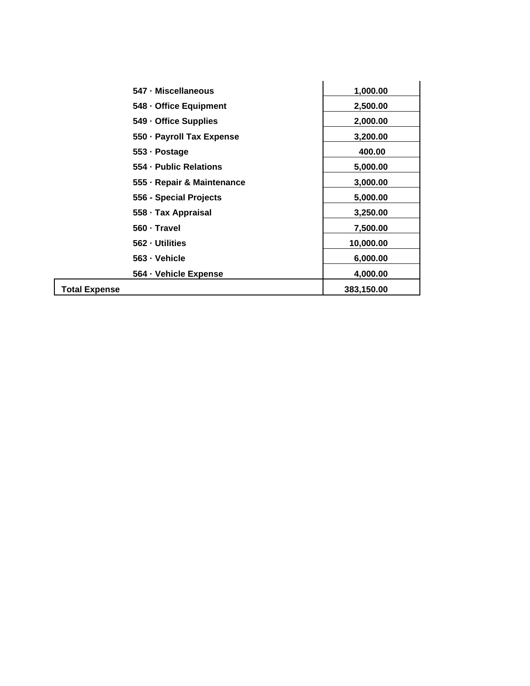|                      | 547 - Miscellaneous        | 1,000.00   |
|----------------------|----------------------------|------------|
|                      | 548 - Office Equipment     | 2,500.00   |
|                      | 549 - Office Supplies      | 2,000.00   |
|                      | 550 - Payroll Tax Expense  | 3,200.00   |
|                      | 553 - Postage              | 400.00     |
|                      | 554 - Public Relations     | 5,000.00   |
|                      | 555 - Repair & Maintenance | 3,000.00   |
|                      | 556 - Special Projects     | 5,000.00   |
|                      | 558 · Tax Appraisal        | 3,250.00   |
|                      | 560 - Travel               | 7,500.00   |
|                      | 562 - Utilities            | 10,000.00  |
|                      | 563 - Vehicle              | 6,000.00   |
|                      | 564 · Vehicle Expense      | 4,000.00   |
| <b>Total Expense</b> |                            | 383,150.00 |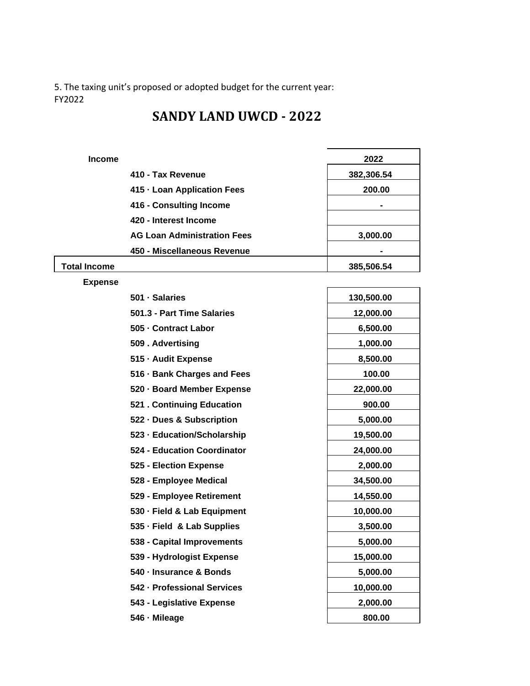5. The taxing unit's proposed or adopted budget for the current year: FY2022

### **SANDY LAND UWCD - 2022**

| <b>Income</b> |                                    | 2022       |
|---------------|------------------------------------|------------|
|               | 410 - Tax Revenue                  | 382,306.54 |
|               | 415 - Loan Application Fees        | 200.00     |
|               | 416 - Consulting Income            |            |
|               | 420 - Interest Income              |            |
|               | <b>AG Loan Administration Fees</b> | 3,000.00   |
|               | 450 - Miscellaneous Revenue        |            |
| Total Income  |                                    | 385,506.54 |

**Expense** 

| 501 · Salaries              | 130,500.00 |
|-----------------------------|------------|
| 501.3 - Part Time Salaries  | 12,000.00  |
| 505 - Contract Labor        | 6,500.00   |
| 509. Advertising            | 1,000.00   |
| 515 - Audit Expense         | 8,500.00   |
| 516 · Bank Charges and Fees | 100.00     |
| 520 · Board Member Expense  | 22,000.00  |
| 521 . Continuing Education  | 900.00     |
| 522 - Dues & Subscription   | 5,000.00   |
| 523 - Education/Scholarship | 19,500.00  |
| 524 - Education Coordinator | 24,000.00  |
| 525 - Election Expense      | 2,000.00   |
| 528 - Employee Medical      | 34,500.00  |
| 529 - Employee Retirement   | 14,550.00  |
| 530 · Field & Lab Equipment | 10,000.00  |
| 535 - Field & Lab Supplies  | 3,500.00   |
| 538 - Capital Improvements  | 5,000.00   |
| 539 - Hydrologist Expense   | 15,000.00  |
| 540 - Insurance & Bonds     | 5,000.00   |
| 542 - Professional Services | 10,000.00  |
| 543 - Legislative Expense   | 2,000.00   |
| 546 - Mileage               | 800.00     |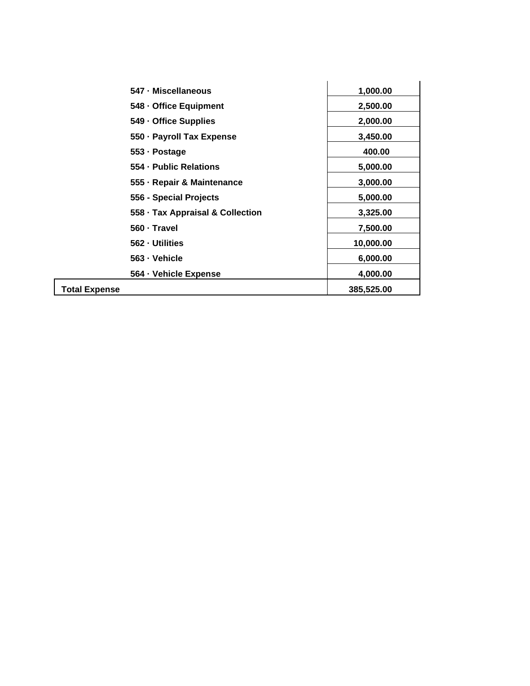| 547 - Miscellaneous              | 1,000.00   |
|----------------------------------|------------|
| 548 - Office Equipment           | 2,500.00   |
| 549 - Office Supplies            | 2,000.00   |
| 550 · Payroll Tax Expense        | 3,450.00   |
| 553 - Postage                    | 400.00     |
| 554 - Public Relations           | 5,000.00   |
| 555 - Repair & Maintenance       | 3,000.00   |
| 556 - Special Projects           | 5,000.00   |
| 558 · Tax Appraisal & Collection | 3,325.00   |
| 560 · Travel                     | 7,500.00   |
| 562 - Utilities                  | 10,000.00  |
| 563 - Vehicle                    | 6,000.00   |
| 564 - Vehicle Expense            | 4,000.00   |
| <b>Total Expense</b>             | 385,525.00 |